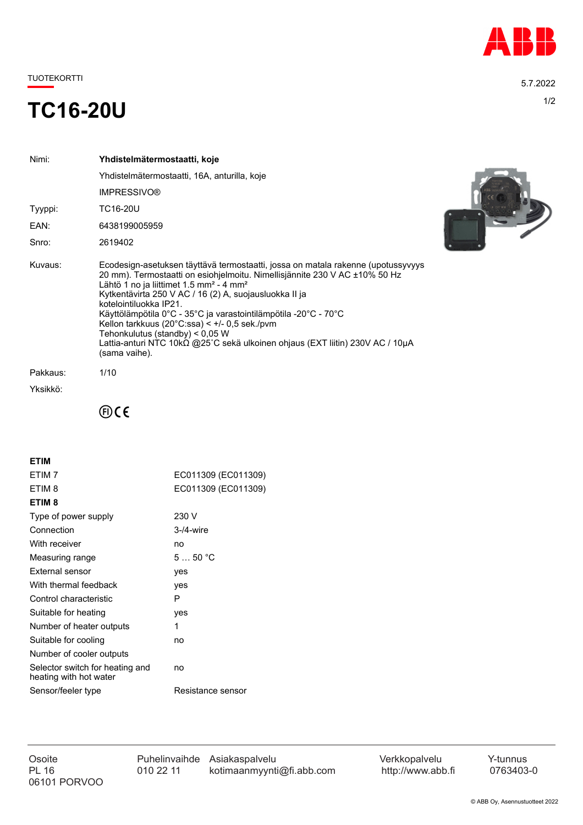

TUOTEKORTTI 5.7.2022

## 1/2 **TC16-20U**

| Nimi:    | Yhdistelmätermostaatti, koje                                                                                                                                                                                                                                                                                                                                                                                                                                                                                                                                                                 |
|----------|----------------------------------------------------------------------------------------------------------------------------------------------------------------------------------------------------------------------------------------------------------------------------------------------------------------------------------------------------------------------------------------------------------------------------------------------------------------------------------------------------------------------------------------------------------------------------------------------|
|          | Yhdistelmätermostaatti, 16A, anturilla, koje                                                                                                                                                                                                                                                                                                                                                                                                                                                                                                                                                 |
|          | <b>IMPRESSIVO®</b>                                                                                                                                                                                                                                                                                                                                                                                                                                                                                                                                                                           |
| Tyyppi:  | TC16-20U                                                                                                                                                                                                                                                                                                                                                                                                                                                                                                                                                                                     |
| EAN:     | 6438199005959                                                                                                                                                                                                                                                                                                                                                                                                                                                                                                                                                                                |
| Snro:    | 2619402                                                                                                                                                                                                                                                                                                                                                                                                                                                                                                                                                                                      |
| Kuvaus:  | Ecodesign-asetuksen täyttävä termostaatti, jossa on matala rakenne (upotussyvyys<br>20 mm). Termostaatti on esiohjelmoitu. Nimellisjännite 230 V AC ±10% 50 Hz<br>Lähtö 1 no ja liittimet 1.5 mm <sup>2</sup> - 4 mm <sup>2</sup><br>Kytkentävirta 250 V AC / 16 (2) A, suojausluokka II ja<br>kotelointiluokka IP21.<br>Käyttölämpötila 0°C - 35°C ja varastointilämpötila -20°C - 70°C<br>Kellon tarkkuus (20 $^{\circ}$ C:ssa) < $+$ /- 0.5 sek./pvm<br>Tehonkulutus (standby) < 0,05 W<br>Lattia-anturi NTC 10kΩ @25°C sekä ulkoinen ohjaus (EXT liitin) 230V AC / 10μA<br>(sama vaihe). |
| Pakkaus: | 1/10                                                                                                                                                                                                                                                                                                                                                                                                                                                                                                                                                                                         |
| Yksikkö: |                                                                                                                                                                                                                                                                                                                                                                                                                                                                                                                                                                                              |



 $\oplus$ CE

| <b>ETIM</b>                                               |                     |
|-----------------------------------------------------------|---------------------|
| ETIM <sub>7</sub>                                         | EC011309 (EC011309) |
| ETIM 8                                                    | EC011309 (EC011309) |
| ETIM <sub>8</sub>                                         |                     |
| Type of power supply                                      | 230 V               |
| Connection                                                | $3-4$ -wire         |
| With receiver                                             | no                  |
| Measuring range                                           | 550 °C              |
| External sensor                                           | yes                 |
| With thermal feedback                                     | yes                 |
| Control characteristic                                    | P                   |
| Suitable for heating                                      | yes                 |
| Number of heater outputs                                  | 1                   |
| Suitable for cooling                                      | no                  |
| Number of cooler outputs                                  |                     |
| Selector switch for heating and<br>heating with hot water | no                  |
| Sensor/feeler type                                        | Resistance sensor   |
|                                                           |                     |

06101 PORVOO